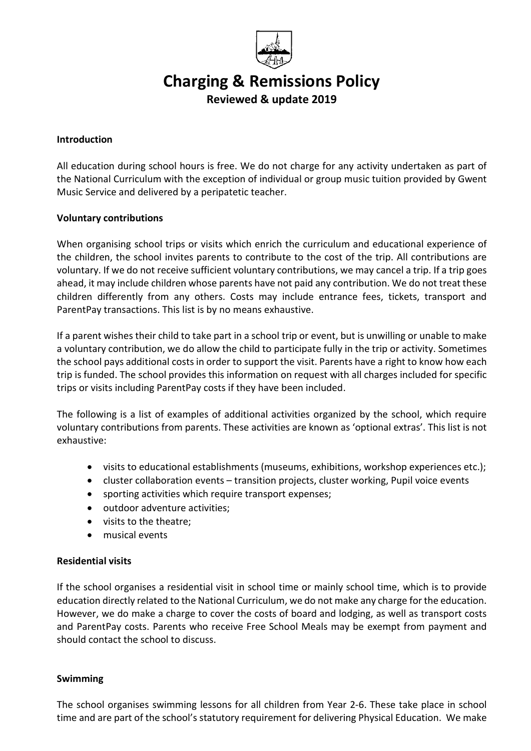

# Charging & Remissions Policy

Reviewed & update 2019

#### **Introduction**

All education during school hours is free. We do not charge for any activity undertaken as part of the National Curriculum with the exception of individual or group music tuition provided by Gwent Music Service and delivered by a peripatetic teacher.

## Voluntary contributions

When organising school trips or visits which enrich the curriculum and educational experience of the children, the school invites parents to contribute to the cost of the trip. All contributions are voluntary. If we do not receive sufficient voluntary contributions, we may cancel a trip. If a trip goes ahead, it may include children whose parents have not paid any contribution. We do not treat these children differently from any others. Costs may include entrance fees, tickets, transport and ParentPay transactions. This list is by no means exhaustive.

If a parent wishes their child to take part in a school trip or event, but is unwilling or unable to make a voluntary contribution, we do allow the child to participate fully in the trip or activity. Sometimes the school pays additional costs in order to support the visit. Parents have a right to know how each trip is funded. The school provides this information on request with all charges included for specific trips or visits including ParentPay costs if they have been included.

The following is a list of examples of additional activities organized by the school, which require voluntary contributions from parents. These activities are known as 'optional extras'. This list is not exhaustive:

- visits to educational establishments (museums, exhibitions, workshop experiences etc.);
- cluster collaboration events transition projects, cluster working, Pupil voice events
- sporting activities which require transport expenses;
- outdoor adventure activities:
- visits to the theatre;
- musical events

# Residential visits

If the school organises a residential visit in school time or mainly school time, which is to provide education directly related to the National Curriculum, we do not make any charge for the education. However, we do make a charge to cover the costs of board and lodging, as well as transport costs and ParentPay costs. Parents who receive Free School Meals may be exempt from payment and should contact the school to discuss.

#### Swimming

The school organises swimming lessons for all children from Year 2-6. These take place in school time and are part of the school's statutory requirement for delivering Physical Education. We make